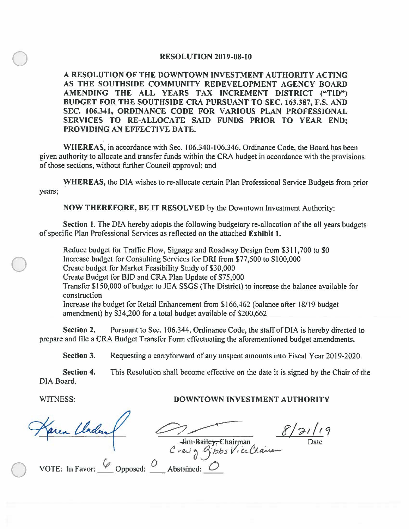## **RESOLUTION 2019-08-10**

**A RESOLUTION OF THE DOWNTOWN INVESTMENT AUTHORITY ACTING AS THE SOUTHSIDE COMMUNITY REDEVELOPMENT AGENCY BOARD AMENDING THE ALL YEARS TAX INCREMENT DISTRICT ("TIO") BUDGET FOR THE SOUTHSIDE CRA PURSUANT TO SEC. 163.387, F.S. AND SEC. 106.341, ORDINANCE CODE FOR VARIOUS PLAN PROFESSIONAL SERVICES TO RE-ALLOCATE SAID FUNDS PRIOR TO YEAR END; PROVIDING AN EFFECTIVE DATE.** 

**WHEREAS,** in accordance with Sec. 106.340-106.346, Ordinance Code, the Board has been given authority to allocate and transfer funds within the CRA budget in accordance with the provisions of those sections, without further Council approval; and

**WHEREAS,** the DIA wishes to re-allocate certain Plan Professional Service Budgets from prior years;

**NOW THEREFORE, BE IT RESOLVED** by the Downtown Investment Authority:

**Section 1.** The DIA hereby adopts the following budgetary re-allocation of the all years budgets of specific Plan Professional Services as reflected on the attached **Exhibit 1.** 

Reduce budget for Traffic Flow, Signage and Roadway Design from \$311,700 to \$0 Increase budget for Consulting Services for ORI from \$77,500 to \$100,000 Create budget for Market Feasibility Study of \$30,000 Create Budget for BID and CRA Plan Update of \$75,000 Transfer \$150,000 of budget to JEA SSGS (The District) to increase the balance available for construction Increase the budget for Retail Enhancement from \$166,462 (balance after 18/19 budget amendment) by \$34,200 for a total budget available of \$200,662

**Section 2.** Pursuant to Sec. 106.344, Ordinance Code, the staff of DIA is hereby directed to prepare and file a CRA Budget Transfer Form effectuating the aforementioned budget amendments.

**Section** 3. Requesting a carryforward of any unspent amounts into Fiscal Year 2019-2020.

**Section 4.** This Resolution shall become effective on the date it is signed by the Chair of the DIA Board.

 $\bigcirc$ 

 $\bigcirc$ 

## WITNESS: **DOWNTOWN INVESTMENT AUTHORITY**

en Clader  $8/21/19$ Ji<del>m Bailey, C</del>hairman Date Date  $\bigcirc$ VOTE: In Favor:  $\vee$  Opposed: